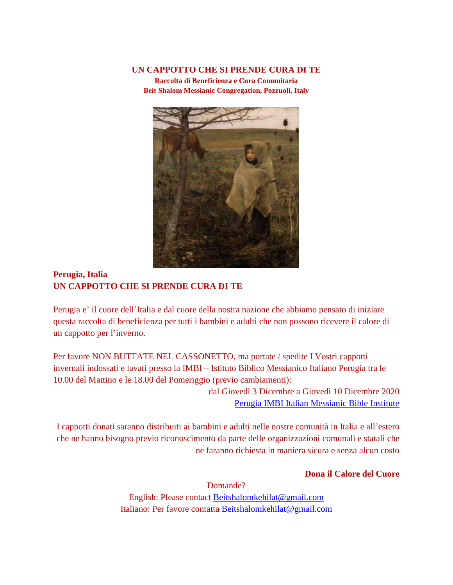## **UN CAPPOTTO CHE SI PRENDE CURA DI TE**

**Raccolta di Beneficienza e Cura Comunitaria Beit Shalom Messianic Congregation, Pozzuoli, Italy**



## **Perugia, Italia UN CAPPOTTO CHE SI PRENDE CURA DI TE**

Perugia e' il cuore dell'Italia e dal cuore della nostra nazione che abbiamo pensato di iniziare questa raccolta di beneficienza per tutti i bambini e adulti che non possono ricevere il calore di un cappotto per l'inverno.

Per favore NON BUTTATE NEL CASSONETTO, ma portate / spedite I Vostri cappotti invernali indossati e lavati presso la IMBI – Istituto Biblico Messianico Italiano Perugia tra le 10.00 del Mattino e le 18.00 del Pomeriggio (previo cambiamenti):

> dal Giovedì 3 Dicembre a Giovedì 10 Dicembre 2020 [Perugia IMBI Italian Messianic Bible Institute](https://goo.gl/maps/ckWhjDs8whUbCWvZ9)

I cappotti donati saranno distribuiti ai bambini e adulti nelle nostre comunità in Italia e all'estero che ne hanno bisogno previo riconoscimento da parte delle organizzazioni comunali e statali che ne faranno richiesta in maniera sicura e senza alcun costo

**Dona il Calore del Cuore**

Domande? English: Please contact [Beitshalomkehilat@gmail.com](mailto:Beitshalomkehilat@gmail.com) Italiano: Per favore contatta [Beitshalomkehilat@gmail.com](mailto:Beitshalomkehilat@gmail.com)